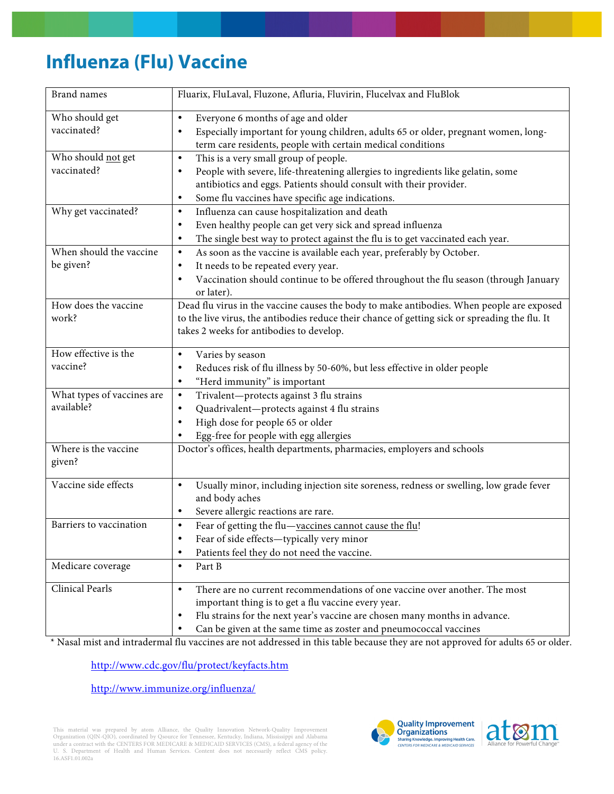## **Influenza (Flu) Vaccine**

| <b>Brand names</b>                       | Fluarix, FluLaval, Fluzone, Afluria, Fluvirin, Flucelvax and FluBlok                                                                                                                                                                                                                                        |
|------------------------------------------|-------------------------------------------------------------------------------------------------------------------------------------------------------------------------------------------------------------------------------------------------------------------------------------------------------------|
| Who should get<br>vaccinated?            | Everyone 6 months of age and older<br>$\bullet$<br>Especially important for young children, adults 65 or older, pregnant women, long-<br>$\bullet$<br>term care residents, people with certain medical conditions                                                                                           |
| Who should not get<br>vaccinated?        | This is a very small group of people.<br>$\bullet$<br>People with severe, life-threatening allergies to ingredients like gelatin, some<br>$\bullet$<br>antibiotics and eggs. Patients should consult with their provider.<br>Some flu vaccines have specific age indications.<br>$\bullet$                  |
| Why get vaccinated?                      | Influenza can cause hospitalization and death<br>$\bullet$<br>Even healthy people can get very sick and spread influenza<br>$\bullet$<br>The single best way to protect against the flu is to get vaccinated each year.<br>$\bullet$                                                                        |
| When should the vaccine<br>be given?     | As soon as the vaccine is available each year, preferably by October.<br>$\bullet$<br>It needs to be repeated every year.<br>$\bullet$<br>Vaccination should continue to be offered throughout the flu season (through January<br>$\bullet$<br>or later).                                                   |
| How does the vaccine<br>work?            | Dead flu virus in the vaccine causes the body to make antibodies. When people are exposed<br>to the live virus, the antibodies reduce their chance of getting sick or spreading the flu. It<br>takes 2 weeks for antibodies to develop.                                                                     |
| How effective is the<br>vaccine?         | Varies by season<br>$\bullet$<br>Reduces risk of flu illness by 50-60%, but less effective in older people<br>٠<br>"Herd immunity" is important<br>$\bullet$                                                                                                                                                |
| What types of vaccines are<br>available? | Trivalent-protects against 3 flu strains<br>$\bullet$<br>Quadrivalent-protects against 4 flu strains<br>$\bullet$<br>High dose for people 65 or older<br>$\bullet$<br>Egg-free for people with egg allergies<br>٠                                                                                           |
| Where is the vaccine<br>given?           | Doctor's offices, health departments, pharmacies, employers and schools                                                                                                                                                                                                                                     |
| Vaccine side effects                     | Usually minor, including injection site soreness, redness or swelling, low grade fever<br>$\bullet$<br>and body aches<br>Severe allergic reactions are rare.<br>$\bullet$                                                                                                                                   |
| Barriers to vaccination                  | Fear of getting the flu-vaccines cannot cause the flu!<br>$\bullet$<br>Fear of side effects-typically very minor<br>٠<br>Patients feel they do not need the vaccine.<br>$\bullet$                                                                                                                           |
| Medicare coverage                        | Part B<br>$\bullet$                                                                                                                                                                                                                                                                                         |
| <b>Clinical Pearls</b>                   | There are no current recommendations of one vaccine over another. The most<br>$\bullet$<br>important thing is to get a flu vaccine every year.<br>Flu strains for the next year's vaccine are chosen many months in advance.<br>٠<br>Can be given at the same time as zoster and pneumococcal vaccines<br>٠ |

\* Nasal mist and intradermal flu vaccines are not addressed in this table because they are not approved for adults 65 or older.

http://www.cdc.gov/flu/protect/keyfacts.htm

http://www.immunize.org/influenza/

This material was prepared by atom Alliance, the Quality Innovation Network-Quality Improvement<br>Organization (QIN-QIO), coordinated by Qsource for Tennessee, Kentucky, Indiana, Mississippi and Alabama<br>under a contract with U. S. Department of Health and Human Services. Content does not necessarily reflect CMS policy. 16.ASF1.01.002a



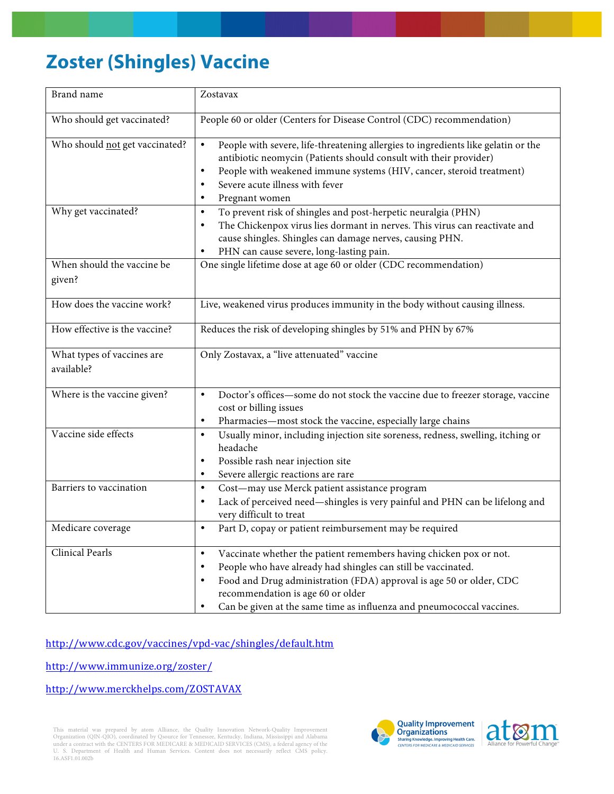## **Zoster (Shingles) Vaccine**

| Brand name                               | Zostavax                                                                                                                                                                                                                                                                                                                                                             |
|------------------------------------------|----------------------------------------------------------------------------------------------------------------------------------------------------------------------------------------------------------------------------------------------------------------------------------------------------------------------------------------------------------------------|
| Who should get vaccinated?               | People 60 or older (Centers for Disease Control (CDC) recommendation)                                                                                                                                                                                                                                                                                                |
| Who should not get vaccinated?           | People with severe, life-threatening allergies to ingredients like gelatin or the<br>$\bullet$<br>antibiotic neomycin (Patients should consult with their provider)<br>People with weakened immune systems (HIV, cancer, steroid treatment)<br>$\bullet$<br>Severe acute illness with fever<br>Pregnant women                                                        |
| Why get vaccinated?                      | To prevent risk of shingles and post-herpetic neuralgia (PHN)<br>$\bullet$<br>The Chickenpox virus lies dormant in nerves. This virus can reactivate and<br>$\bullet$<br>cause shingles. Shingles can damage nerves, causing PHN.<br>PHN can cause severe, long-lasting pain.                                                                                        |
| When should the vaccine be<br>given?     | One single lifetime dose at age 60 or older (CDC recommendation)                                                                                                                                                                                                                                                                                                     |
| How does the vaccine work?               | Live, weakened virus produces immunity in the body without causing illness.                                                                                                                                                                                                                                                                                          |
| How effective is the vaccine?            | Reduces the risk of developing shingles by 51% and PHN by 67%                                                                                                                                                                                                                                                                                                        |
| What types of vaccines are<br>available? | Only Zostavax, a "live attenuated" vaccine                                                                                                                                                                                                                                                                                                                           |
| Where is the vaccine given?              | Doctor's offices-some do not stock the vaccine due to freezer storage, vaccine<br>$\bullet$<br>cost or billing issues<br>Pharmacies-most stock the vaccine, especially large chains<br>$\bullet$                                                                                                                                                                     |
| Vaccine side effects                     | Usually minor, including injection site soreness, redness, swelling, itching or<br>$\bullet$<br>headache<br>Possible rash near injection site<br>$\bullet$<br>Severe allergic reactions are rare                                                                                                                                                                     |
| Barriers to vaccination                  | Cost-may use Merck patient assistance program<br>$\bullet$<br>Lack of perceived need-shingles is very painful and PHN can be lifelong and<br>٠<br>very difficult to treat                                                                                                                                                                                            |
| Medicare coverage                        | Part D, copay or patient reimbursement may be required<br>$\bullet$                                                                                                                                                                                                                                                                                                  |
| Clinical Pearls                          | Vaccinate whether the patient remembers having chicken pox or not.<br>$\bullet$<br>People who have already had shingles can still be vaccinated.<br>$\bullet$<br>Food and Drug administration (FDA) approval is age 50 or older, CDC<br>٠<br>recommendation is age 60 or older<br>Can be given at the same time as influenza and pneumococcal vaccines.<br>$\bullet$ |

http://www.cdc.gov/vaccines/vpd-vac/shingles/default.htm

http://www.immunize.org/zoster/

http://www.merckhelps.com/ZOSTAVAX

This material was prepared by atom Alliance, the Quality Innovation Network-Quality Improvement<br>Organization (QIN-QIO), coordinated by Qsource for Tennessee, Kentucky, Indiana, Mississippi and Alabama<br>under a contract with U. S. Department of Health and Human Services. Content does not necessarily reflect CMS policy. 16.ASF1.01.002b



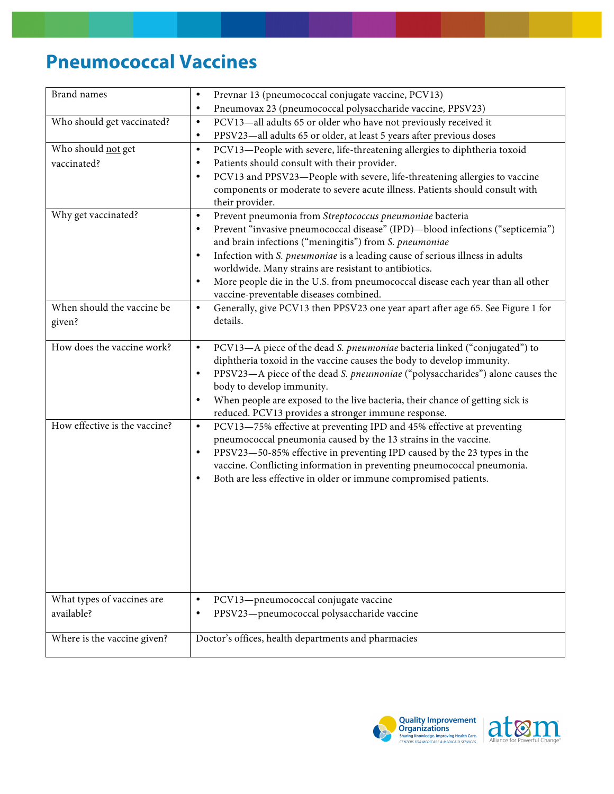## **Pneumococcal Vaccines**

| <b>Brand names</b>            | Prevnar 13 (pneumococcal conjugate vaccine, PCV13)<br>$\bullet$                              |
|-------------------------------|----------------------------------------------------------------------------------------------|
|                               | Pneumovax 23 (pneumococcal polysaccharide vaccine, PPSV23)<br>$\bullet$                      |
| Who should get vaccinated?    | PCV13-all adults 65 or older who have not previously received it<br>$\bullet$                |
|                               | PPSV23-all adults 65 or older, at least 5 years after previous doses<br>$\bullet$            |
| Who should not get            | PCV13-People with severe, life-threatening allergies to diphtheria toxoid<br>$\bullet$       |
| vaccinated?                   | Patients should consult with their provider.<br>$\bullet$                                    |
|                               | PCV13 and PPSV23-People with severe, life-threatening allergies to vaccine<br>$\bullet$      |
|                               | components or moderate to severe acute illness. Patients should consult with                 |
|                               | their provider.                                                                              |
| Why get vaccinated?           | Prevent pneumonia from Streptococcus pneumoniae bacteria<br>$\bullet$                        |
|                               | Prevent "invasive pneumococcal disease" (IPD)-blood infections ("septicemia")<br>$\bullet$   |
|                               | and brain infections ("meningitis") from S. pneumoniae                                       |
|                               | Infection with S. pneumoniae is a leading cause of serious illness in adults<br>$\bullet$    |
|                               | worldwide. Many strains are resistant to antibiotics.                                        |
|                               | More people die in the U.S. from pneumococcal disease each year than all other<br>$\bullet$  |
|                               | vaccine-preventable diseases combined.                                                       |
| When should the vaccine be    | Generally, give PCV13 then PPSV23 one year apart after age 65. See Figure 1 for<br>$\bullet$ |
| given?                        | details.                                                                                     |
|                               |                                                                                              |
| How does the vaccine work?    | PCV13-A piece of the dead S. pneumoniae bacteria linked ("conjugated") to<br>$\bullet$       |
|                               | diphtheria toxoid in the vaccine causes the body to develop immunity.                        |
|                               | PPSV23-A piece of the dead S. pneumoniae ("polysaccharides") alone causes the<br>$\bullet$   |
|                               | body to develop immunity.                                                                    |
|                               | When people are exposed to the live bacteria, their chance of getting sick is<br>$\bullet$   |
|                               | reduced. PCV13 provides a stronger immune response.                                          |
| How effective is the vaccine? | PCV13-75% effective at preventing IPD and 45% effective at preventing<br>$\bullet$           |
|                               | pneumococcal pneumonia caused by the 13 strains in the vaccine.                              |
|                               | PPSV23-50-85% effective in preventing IPD caused by the 23 types in the<br>$\bullet$         |
|                               | vaccine. Conflicting information in preventing pneumococcal pneumonia.                       |
|                               | Both are less effective in older or immune compromised patients.<br>$\bullet$                |
|                               |                                                                                              |
|                               |                                                                                              |
|                               |                                                                                              |
|                               |                                                                                              |
|                               |                                                                                              |
|                               |                                                                                              |
|                               |                                                                                              |
|                               |                                                                                              |
| What types of vaccines are    | PCV13-pneumococcal conjugate vaccine<br>$\bullet$                                            |
| available?                    | PPSV23-pneumococcal polysaccharide vaccine<br>٠                                              |
|                               |                                                                                              |
| Where is the vaccine given?   | Doctor's offices, health departments and pharmacies                                          |
|                               |                                                                                              |